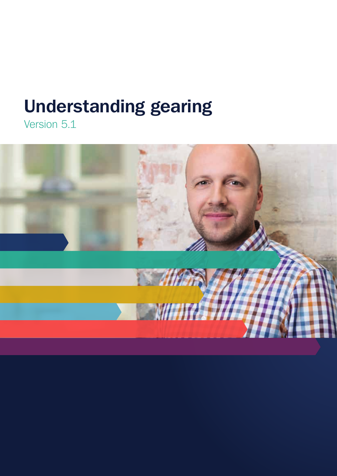# **Understanding gearing**

Version 5.1

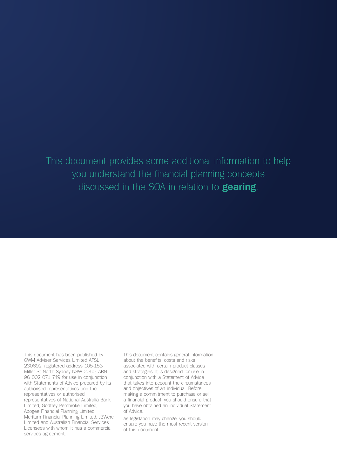# This document provides some additional information to help you understand the financial planning concepts discussed in the SOA in relation to **gearing**.

This document has been published by GWM Adviser Services Limited AFSL 230692, registered address 105-153 Miller St North Sydney NSW 2060, ABN 96 002 071 749 for use in conjunction with Statements of Advice prepared by its authorised representatives and the representatives or authorised representatives of National Australia Bank Limited, Godfrey Pembroke Limited, Apogee Financial Planning Limited, Meritum Financial Planning Limited, JBWere Limited and Australian Financial Services Licensees with whom it has a commercial services agreement.

This document contains general information about the benefits, costs and risks associated with certain product classes and strategies. It is designed for use in conjunction with a Statement of Advice that takes into account the circumstances and objectives of an individual. Before making a commitment to purchase or sell a financial product, you should ensure that you have obtained an individual Statement of Advice.

As legislation may change, you should ensure you have the most recent version of this document.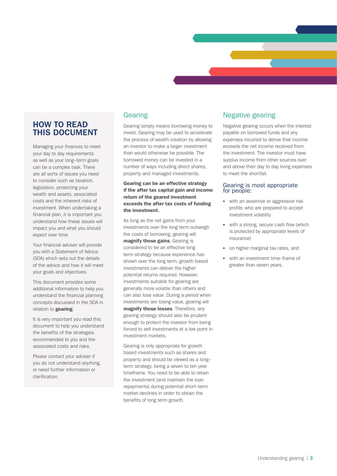# **HOW TO READ THIS DOCUMENT**

Managing your finances to meet your day to day requirements as well as your long–term goals can be a complex task. There are all sorts of issues you need to consider such as taxation, legislation, protecting your wealth and assets, associated costs and the inherent risks of investment. When undertaking a financial plan, it is important you understand how these issues will impact you and what you should expect over time.

Your financial adviser will provide you with a Statement of Advice (SOA) which sets out the details of the advice and how it will meet your goals and objectives.

This document provides some additional information to help you understand the financial planning concepts discussed in the SOA in relation to **gearing**.

It is very important you read this document to help you understand the benefits of the strategies recommended to you and the associated costs and risks.

Please contact your adviser if you do not understand anything, or need further information or clarification.

# Gearing

Gearing simply means borrowing money to invest. Gearing may be used to accelerate the process of wealth creation by allowing an investor to make a larger investment than would otherwise be possible. The borrowed money can be invested in a number of ways including direct shares, property and managed investments.

**Gearing can be an effective strategy if the after tax capital gain and income return of the geared investment exceeds the after tax costs of funding the investment.**

As long as the net gains from your investments over the long term outweigh the costs of borrowing, gearing will **magnify those gains**. Gearing is considered to be an effective long term strategy because experience has shown over the long term, growth based investments can deliver the higher potential returns required. However, investments suitable for gearing are generally more volatile than others and can also lose value. During a period when investments are losing value, gearing will **magnify those losses**. Therefore, any gearing strategy should also be prudent enough to protect the investor from being forced to sell investments at a low point in investment markets.

Gearing is only appropriate for growth based investments such as shares and property and should be viewed as a long– term strategy, being a seven to ten year timeframe. You need to be able to retain the investment (and maintain the loan repayments) during potential short–term market declines in order to obtain the benefits of long term growth.

## Negative gearing

Negative gearing occurs when the interest payable on borrowed funds and any expenses incurred to derive that income exceeds the net income received from the investment. The investor must have surplus income from other sources over and above their day to day living expenses to meet the shortfall.

#### Gearing is most appropriate for people:

- with an assertive or aggressive risk profile, who are prepared to accept investment volatility
- with a strong, secure cash flow (which is protected by appropriate levels of insurance)
- on higher marginal tax rates, and
- with an investment time–frame of greater than seven years.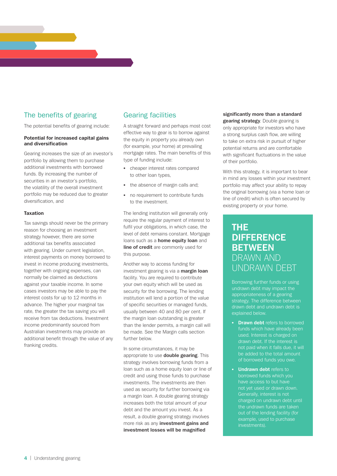# The benefits of gearing

The potential benefits of gearing include:

#### **Potential for increased capital gains and diversification**

Gearing increases the size of an investor's portfolio by allowing them to purchase additional investments with borrowed funds. By increasing the number of securities in an investor's portfolio, the volatility of the overall investment portfolio may be reduced due to greater diversification, and

#### **Taxation**

Tax savings should never be the primary reason for choosing an investment strategy however, there are some additional tax benefits associated with gearing. Under current legislation, interest payments on money borrowed to invest in income producing investments, together with ongoing expenses, can normally be claimed as deductions against your taxable income. In some cases investors may be able to pay the interest costs for up to 12 months in advance. The higher your marginal tax rate, the greater the tax saving you will receive from tax deductions. Investment income predominantly sourced from Australian investments may provide an additional benefit through the value of any franking credits.

## Gearing facilities

A straight forward and perhaps most cost effective way to gear is to borrow against the equity in property you already own (for example, your home) at prevailing mortgage rates. The main benefits of this type of funding include:

- cheaper interest rates compared to other loan types,
- the absence of margin calls and;
- no requirement to contribute funds to the investment.

The lending institution will generally only require the regular payment of interest to fulfil your obligations, in which case, the level of debt remains constant. Mortgage loans such as a **home equity loan** and **line of credit** are commonly used for this purpose.

Another way to access funding for investment gearing is via a **margin loan** facility. You are required to contribute your own equity which will be used as security for the borrowing. The lending institution will lend a portion of the value of specific securities or managed funds, usually between 40 and 80 per cent. If the margin loan outstanding is greater than the lender permits, a margin call will be made. See the Margin calls section further below.

In some circumstances, it may be appropriate to use **double gearing**. This strategy involves borrowing funds from a loan such as a home equity loan or line of credit and using those funds to purchase investments. The investments are then used as security for further borrowing via a margin loan. A double gearing strategy increases both the total amount of your debt and the amount you invest. As a result, a double gearing strategy involves more risk as any **investment gains and investment losses will be magnified** 

#### **significantly more than a standard gearing strategy**. Double gearing is

only appropriate for investors who have a strong surplus cash flow, are willing to take on extra risk in pursuit of higher potential returns and are comfortable with significant fluctuations in the value of their portfolio.

With this strategy, it is important to bear in mind any losses within your investment portfolio may affect your ability to repay the original borrowing (via a home loan or line of credit) which is often secured by existing property or your home.

# **THE DIFFERENCE BETWEEN**  DRAWN AND UNDRAWN DEBT

Borrowing further funds or using undrawn debt may impact the appropriateness of a gearing strategy. The difference between drawn debt and undrawn debt is explained below.

- **Drawn debt** refers to borrowed funds which have already been used. Interest is charged on drawn debt. If the interest is not paid when it falls due, it will be added to the total amount of borrowed funds you owe.
- **Undrawn debt** refers to borrowed funds which you have access to but have not yet used or drawn down. Generally, interest is not charged on undrawn debt until the undrawn funds are taken out of the lending facility (for example, used to purchase investments).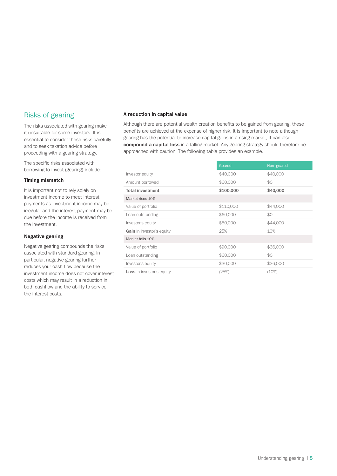# Risks of gearing

The risks associated with gearing make it unsuitable for some investors. It is essential to consider these risks carefully and to seek taxation advice before proceeding with a gearing strategy.

The specific risks associated with borrowing to invest (gearing) include:

#### **Timing mismatch**

It is important not to rely solely on investment income to meet interest payments as investment income may be irregular and the interest payment may be due before the income is received from the investment.

#### **Negative gearing**

Negative gearing compounds the risks associated with standard gearing. In particular, negative gearing further reduces your cash flow because the investment income does not cover interest costs which may result in a reduction in both cashflow and the ability to service the interest costs.

#### **A reduction in capital value**

Although there are potential wealth creation benefits to be gained from gearing, these benefits are achieved at the expense of higher risk. It is important to note although gearing has the potential to increase capital gains in a rising market, it can also **compound a capital loss** in a falling market. Any gearing strategy should therefore be approached with caution. The following table provides an example.

|                                  | Geared    | Non-geared |
|----------------------------------|-----------|------------|
| Investor equity                  | \$40,000  | \$40,000   |
| Amount borrowed                  | \$60,000  | \$0        |
| <b>Total investment</b>          | \$100,000 | \$40,000   |
| Market rises 10%                 |           |            |
| Value of portfolio               | \$110,000 | \$44,000   |
| Loan outstanding                 | \$60,000  | \$0        |
| Investor's equity                | \$50,000  | \$44,000   |
| Gain in investor's equity        | 25%       | 10%        |
| Market falls 10%                 |           |            |
| Value of portfolio               | \$90,000  | \$36,000   |
| Loan outstanding                 | \$60,000  | \$0        |
| Investor's equity                | \$30,000  | \$36,000   |
| <b>Loss</b> in investor's equity | (25%)     | (10%)      |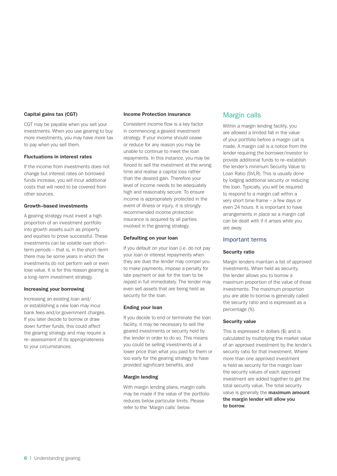#### **Capital gains tax (CGT)**

CGT may be payable when you sell your investments. When you use gearing to buy more investments, you may have more tax to pay when you sell them.

#### **Fluctuations in interest rates**

If the income from investments does not change but interest rates on borrowed funds increase, you will incur additional costs that will need to be covered from other sources.

#### **Growth–based investments**

A gearing strategy must invest a high proportion of an investment portfolio into growth assets such as property and equities to prove successful. These investments can be volatile over short– term periods – that is, in the short–term there may be some years in which the investments do not perform well or even lose value. It is for this reason gearing is a long–term investment strategy.

#### **Increasing your borrowing**

Increasing an existing loan and/ or establishing a new loan may incur bank fees and/or government charges. If you later decide to borrow or draw down further funds, this could affect the gearing strategy and may require a re–assessment of its appropriateness to your circumstances.

#### **Income Protection insurance**

Consistent income flow is a key factor in commencing a geared investment strategy. If your income should cease or reduce for any reason you may be unable to continue to meet the loan repayments. In this instance, you may be forced to sell the investment at the wrong time and realise a capital loss rather than the desired gain. Therefore your level of income needs to be adequately high and reasonably secure. To ensure income is appropriately protected in the event of illness or injury, it is strongly recommended income protection insurance is acquired by all parties involved in the gearing strategy.

#### **Defaulting on your loan**

If you default on your loan (i.e. do not pay your loan or interest repayments when they are due) the lender may compel you to make payments, impose a penalty for late payment or ask for the loan to be repaid in full immediately. The lender may even sell assets that are being held as security for the loan.

#### **Ending your loan**

If you decide to end or terminate the loan facility, it may be necessary to sell the geared investments or security held by the lender in order to do so. This means you could be selling investments at a lower price than what you paid for them or too early for the gearing strategy to have provided significant benefits, and

#### **Margin lending**

With margin lending plans, margin calls may be made if the value of the portfolio reduces below particular limits. Please refer to the 'Margin calls' below.

## Margin calls

Within a margin lending facility, you are allowed a limited fall in the value of your portfolio before a margin call is made. A margin call is a notice from the lender requiring the borrower/investor to provide additional funds to re–establish the lender's minimum Security Value to Loan Ratio (SVLR). This is usually done by lodging additional security or reducing the loan. Typically, you will be required to respond to a margin call within a very short time frame – a few days or even 24 hours. It is important to have arrangements in place so a margin call can be dealt with if it arises while you are away.

#### Important terms

#### **Security ratio**

Margin lenders maintain a list of approved investments. When held as security, the lender allows you to borrow a maximum proportion of the value of those investments. The maximum proportion you are able to borrow is generally called the security ratio and is expressed as a percentage (%).

#### **Security value**

This is expressed in dollars (\$) and is calculated by multiplying the market value of an approved investment by the lender's security ratio for that investment. Where more than one approved investment is held as security for the margin loan the security values of each approved investment are added together to get the total security value. The total security value is generally the **maximum amount the margin lender will allow you to borrow**.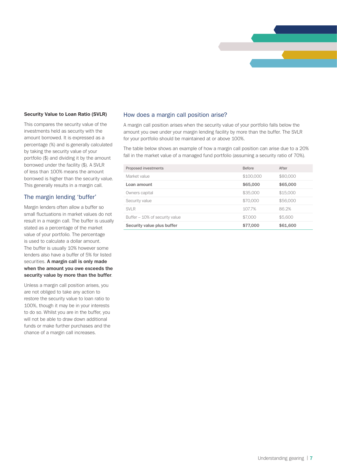

#### **Security Value to Loan Ratio (SVLR)**

This compares the security value of the investments held as security with the amount borrowed. It is expressed as a percentage (%) and is generally calculated by taking the security value of your portfolio (\$) and dividing it by the amount borrowed under the facility (\$). A SVLR of less than 100% means the amount borrowed is higher than the security value. This generally results in a margin call.

#### The margin lending 'buffer'

Margin lenders often allow a buffer so small fluctuations in market values do not result in a margin call. The buffer is usually stated as a percentage of the market value of your portfolio. The percentage is used to calculate a dollar amount. The buffer is usually 10% however some lenders also have a buffer of 5% for listed securities. **A margin call is only made when the amount you owe exceeds the security value by more than the buffer**.

Unless a margin call position arises, you are not obliged to take any action to restore the security value to loan ratio to 100%, though it may be in your interests to do so. Whilst you are in the buffer, you will not be able to draw down additional funds or make further purchases and the chance of a margin call increases.

#### How does a margin call position arise?

A margin call position arises when the security value of your portfolio falls below the amount you owe under your margin lending facility by more than the buffer. The SVLR for your portfolio should be maintained at or above 100%.

The table below shows an example of how a margin call position can arise due to a 20% fall in the market value of a managed fund portfolio (assuming a security ratio of 70%).

| Proposed investments           | <b>Before</b> | After    |
|--------------------------------|---------------|----------|
| Market value                   | \$100,000     | \$80,000 |
| Loan amount                    | \$65,000      | \$65,000 |
| Owners capital                 | \$35,000      | \$15,000 |
| Security value                 | \$70,000      | \$56,000 |
| <b>SVLR</b>                    | 107.7%        | 862%     |
| Buffer – 10% of security value | \$7,000       | \$5,600  |
| Security value plus buffer     | \$77,000      | \$61,600 |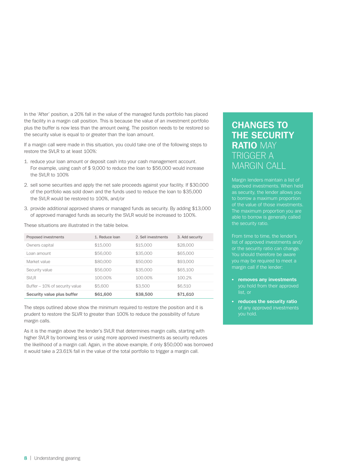In the 'After' position, a 20% fall in the value of the managed funds portfolio has placed the facility in a margin call position. This is because the value of an investment portfolio plus the buffer is now less than the amount owing. The position needs to be restored so the security value is equal to or greater than the loan amount.

If a margin call were made in this situation, you could take one of the following steps to restore the SVLR to at least 100%:

- 1. reduce your loan amount or deposit cash into your cash management account. For example, using cash of \$ 9,000 to reduce the loan to \$56,000 would increase the SVLR to 100%
- 2. sell some securities and apply the net sale proceeds against your facility. If \$30,000 of the portfolio was sold down and the funds used to reduce the loan to \$35,000 the SVLR would be restored to 100%, and/or
- 3. provide additional approved shares or managed funds as security. By adding \$13,000 of approved managed funds as security the SVLR would be increased to 100%.

These situations are illustrated in the table below.

| Proposed investments           | 1. Reduce Ioan | 2. Sell investments | 3. Add security |
|--------------------------------|----------------|---------------------|-----------------|
| Owners capital                 | \$15,000       | \$15,000            | \$28,000        |
| Loan amount                    | \$56,000       | \$35,000            | \$65,000        |
| Market value                   | \$80,000       | \$50,000            | \$93,000        |
| Security value                 | \$56,000       | \$35,000            | \$65,100        |
| <b>SVLR</b>                    | 100.00%        | 100.00%             | 100.2%          |
| Buffer – 10% of security value | \$5,600        | \$3.500             | \$6,510         |
| Security value plus buffer     | \$61,600       | \$38,500            | \$71,610        |

The steps outlined above show the minimum required to restore the position and it is prudent to restore the SLVR to greater than 100% to reduce the possibility of future margin calls.

As it is the margin above the lender's SVLR that determines margin calls, starting with higher SVLR by borrowing less or using more approved investments as security reduces the likelihood of a margin call. Again, in the above example, if only \$50,000 was borrowed it would take a 23.61% fall in the value of the total portfolio to trigger a margin call.

# **CHANGES TO THE SECURITY RATIO** MAY TRIGGER A MARGIN CALL

Margin lenders maintain a list of approved investments. When held as security, the lender allows you to borrow a maximum proportion of the value of those investments. The maximum proportion you are able to borrow is generally called

list of approved investments and/ or the security ratio can change. You should therefore be aware you may be required to meet a margin call if the lender:

- **removes any investments** you hold from their approved list, or
- **reduces the security ratio** of any approved investments you hold.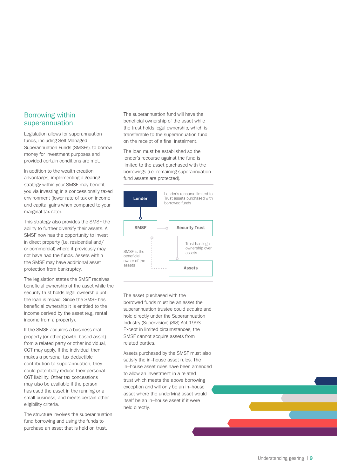### Borrowing within superannuation

Legislation allows for superannuation funds, including Self Managed Superannuation Funds (SMSFs), to borrow money for investment purposes and provided certain conditions are met.

In addition to the wealth creation advantages, implementing a gearing strategy within your SMSF may benefit you via investing in a concessionally taxed environment (lower rate of tax on income and capital gains when compared to your marginal tax rate).

This strategy also provides the SMSF the ability to further diversify their assets. A SMSF now has the opportunity to invest in direct property (i.e. residential and/ or commercial) where it previously may not have had the funds. Assets within the SMSF may have additional asset protection from bankruptcy.

The legislation states the SMSF receives beneficial ownership of the asset while the security trust holds legal ownership until the loan is repaid. Since the SMSF has beneficial ownership it is entitled to the income derived by the asset (e.g. rental income from a property).

If the SMSF acquires a business real property (or other growth–based asset) from a related party or other individual, CGT may apply. If the individual then makes a personal tax deductible contribution to superannuation, they could potentially reduce their personal CGT liability. Other tax concessions may also be available if the person has used the asset in the running or a small business, and meets certain other eligibility criteria.

The structure involves the superannuation fund borrowing and using the funds to purchase an asset that is held on trust.

The superannuation fund will have the beneficial ownership of the asset while the trust holds legal ownership, which is transferable to the superannuation fund on the receipt of a final instalment.

The loan must be established so the lender's recourse against the fund is limited to the asset purchased with the borrowings (i.e. remaining superannuation fund assets are protected).



The asset purchased with the borrowed funds must be an asset the superannuation trustee could acquire and hold directly under the Superannuation Industry (Supervision) (SIS) Act 1993. Except in limited circumstances, the SMSF cannot acquire assets from related parties.

Assets purchased by the SMSF must also satisfy the in–house asset rules. The in–house asset rules have been amended to allow an investment in a related trust which meets the above borrowing exception and will only be an in–house asset where the underlying asset would itself be an in–house asset if it were held directly.